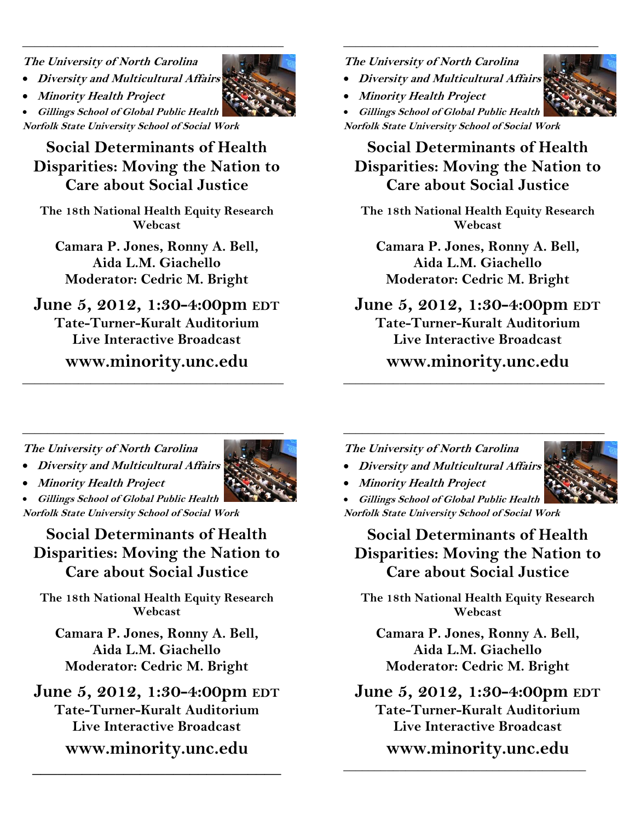**The University of North Carolina** 

- **Diversity and Multicultural Affairs**
- **Minority Health Project**

• **Gillings School of Global Public Health Norfolk State University School of Social Work** 

# **Social Determinants of Health Disparities: Moving the Nation to Care about Social Justice**

\_\_\_\_\_\_\_\_\_\_\_\_\_\_\_\_\_\_\_\_\_\_\_\_\_\_\_\_\_\_\_\_\_\_\_\_\_\_\_\_\_\_

**The 18th National Health Equity Research Webcast** 

**Camara P. Jones, Ronny A. Bell, Aida L.M. Giachello Moderator: Cedric M. Bright** 

# **June 5, 2012, 1:30-4:00pm EDT Tate-Turner-Kuralt Auditorium**

**Live Interactive Broadcast** 

**www.minority.unc.edu** \_\_\_\_\_\_\_\_\_\_\_\_\_\_\_\_\_\_\_\_\_\_\_\_\_\_\_\_\_\_\_\_\_\_\_\_\_\_\_\_\_\_

\_\_\_\_\_\_\_\_\_\_\_\_\_\_\_\_\_\_\_\_\_\_\_\_\_\_\_\_\_\_\_\_\_\_\_\_\_\_\_\_\_\_

### **The University of North Carolina**

- **Diversity and Multicultural Affairs**
- **Minority Health Project**

• **Gillings School of Global Public Health Norfolk State University School of Social Work** 

## **Social Determinants of Health Disparities: Moving the Nation to Care about Social Justice**

 $\frac{1}{2}$  , and the set of the set of the set of the set of the set of the set of the set of the set of the set of the set of the set of the set of the set of the set of the set of the set of the set of the set of the set

**The 18th National Health Equity Research Webcast** 

**Camara P. Jones, Ronny A. Bell, Aida L.M. Giachello Moderator: Cedric M. Bright** 

# **June 5, 2012, 1:30-4:00pm EDT Tate-Turner-Kuralt Auditorium**

**Live Interactive Broadcast** 

## **www.minority.unc.edu** \_\_\_\_\_\_\_\_\_\_\_\_\_\_\_\_\_\_\_\_\_\_\_\_\_\_\_\_\_\_\_\_\_\_\_\_\_\_\_\_\_\_

\_\_\_\_\_\_\_\_\_\_\_\_\_\_\_\_\_\_\_\_\_\_\_\_\_\_\_\_\_\_\_\_\_\_\_\_\_\_\_\_\_\_

**The University of North Carolina** 

• **Diversity and Multicultural Affairs** 



• **Minority Health Project** 

• **Gillings School of Global Public Health Norfolk State University School of Social Work** 

**Social Determinants of Health Disparities: Moving the Nation to Care about Social Justice**

**The 18th National Health Equity Research Webcast** 

**Camara P. Jones, Ronny A. Bell, Aida L.M. Giachello Moderator: Cedric M. Bright** 

**June 5, 2012, 1:30-4:00pm EDT Tate-Turner-Kuralt Auditorium Live Interactive Broadcast** 

**www.minority.unc.edu** 

**\_\_\_\_\_\_\_\_\_\_\_\_\_\_\_\_\_\_\_\_\_\_\_\_\_\_\_\_\_\_** 

**The University of North Carolina** 



• **Minority Health Project** 

• **Gillings School of Global Public Health Norfolk State University School of Social Work** 

**Social Determinants of Health Disparities: Moving the Nation to Care about Social Justice**

**The 18th National Health Equity Research Webcast** 

**Camara P. Jones, Ronny A. Bell, Aida L.M. Giachello Moderator: Cedric M. Bright** 

**June 5, 2012, 1:30-4:00pm EDT Tate-Turner-Kuralt Auditorium Live Interactive Broadcast** 

**www.minority.unc.edu** 

 $\frac{1}{2}$  ,  $\frac{1}{2}$  ,  $\frac{1}{2}$  ,  $\frac{1}{2}$  ,  $\frac{1}{2}$  ,  $\frac{1}{2}$  ,  $\frac{1}{2}$  ,  $\frac{1}{2}$  ,  $\frac{1}{2}$  ,  $\frac{1}{2}$  ,  $\frac{1}{2}$  ,  $\frac{1}{2}$  ,  $\frac{1}{2}$  ,  $\frac{1}{2}$  ,  $\frac{1}{2}$  ,  $\frac{1}{2}$  ,  $\frac{1}{2}$  ,  $\frac{1}{2}$  ,  $\frac{1$